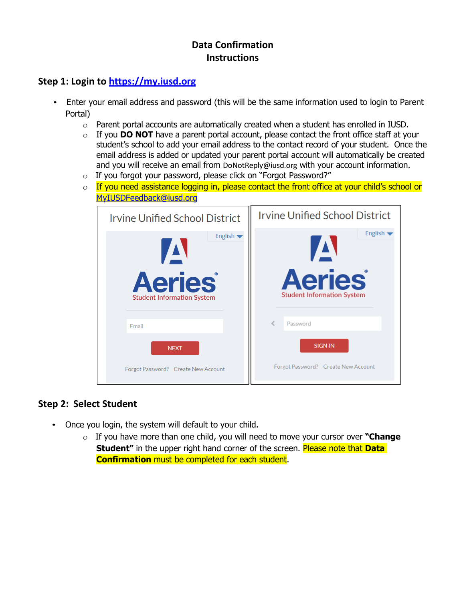# **Data Confirmation Instructions**

# **Step 1: Login to [https://my.iusd.org](https://my.iusd.org/)**

- Enter your email address and password (this will be the same information used to login to Parent Portal)
	- o Parent portal accounts are automatically created when a student has enrolled in IUSD.
	- o If you **DO NOT** have a parent portal account, please contact the front office staff at your student's school to add your email address to the contact record of your student. Once the email address is added or updated your parent portal account will automatically be created and you will receive an email from [DoNotReply@iusd.org](mailto:DoNotReply@iusd.org) with your account information.
	- o If you forgot your password, please click on "Forgot Password?"
	- $\circ$  If you need assistance logging in, please contact the front office at your child's school or [MyIUSDFeedback@iusd.org](mailto:MyIUSDFeedback@iusd.org)

| <b>Irvine Unified School District</b> | <b>Irvine Unified School District</b> |  |
|---------------------------------------|---------------------------------------|--|
| English $\blacktriangledown$          | English -                             |  |
| $\boldsymbol{\Lambda}$                | $\boldsymbol{\Delta}$                 |  |
| <b>Aeries</b>                         | <b>Aeries</b>                         |  |
| <b>Student Information System</b>     | <b>Student Information System</b>     |  |
| Email                                 | Password                              |  |
| <b>NEXT</b>                           | <b>SIGN IN</b>                        |  |
| Forgot Password? Create New Account   | Forgot Password? Create New Account   |  |

#### **Step 2: Select Student**

- Once you login, the system will default to your child.
	- o If you have more than one child, you will need to move your cursor over **"Change Student**" in the upper right hand corner of the screen. Please note that **Data Confirmation** must be completed for each student.